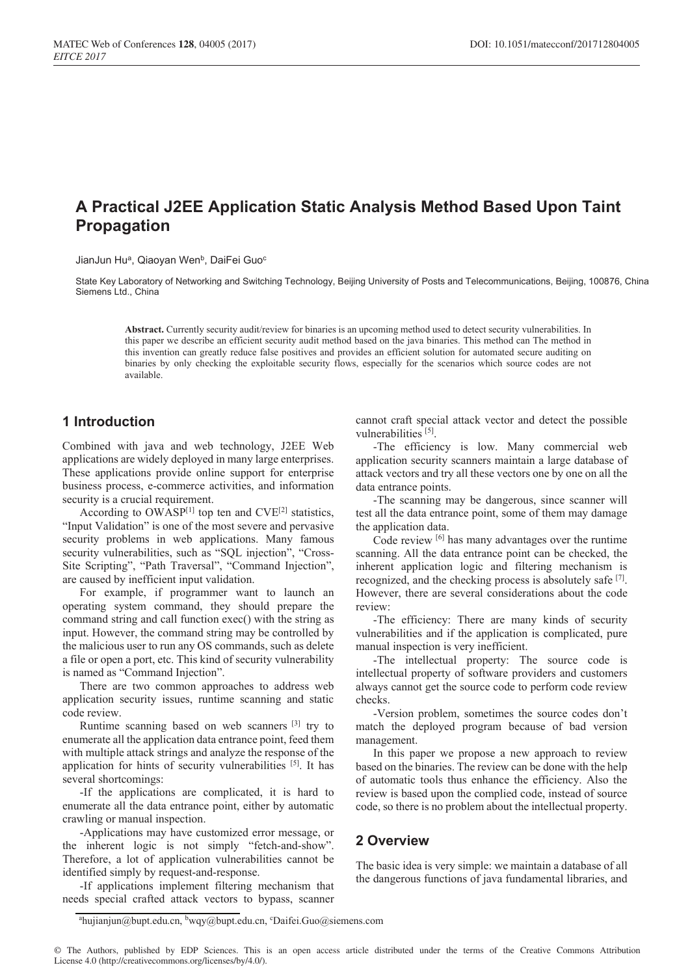# **A Practical J2EE Application Static Analysis Method Based Upon Taint Propagation**

JianJun Hu<sup>a</sup>, Qiaoyan Wen<sup>b</sup>, DaiFei Guo<sup>c</sup>

State Key Laboratory of Networking and Switching Technology, Beijing University of Posts and Telecommunications, Beijing, 100876, China Siemens Ltd., China

**Abstract.** Currently security audit/review for binaries is an upcoming method used to detect security vulnerabilities. In this paper we describe an efficient security audit method based on the java binaries. This method can The method in this invention can greatly reduce false positives and provides an efficient solution for automated secure auditing on binaries by only checking the exploitable security flows, especially for the scenarios which source codes are not available.

## **1 Introduction**

Combined with java and web technology, J2EE Web applications are widely deployed in many large enterprises. These applications provide online support for enterprise business process, e-commerce activities, and information security is a crucial requirement.

According to OWASP<sup>[1]</sup> top ten and CVE<sup>[2]</sup> statistics, "Input Validation" is one of the most severe and pervasive security problems in web applications. Many famous security vulnerabilities, such as "SOL injection", "Cross-Site Scripting", "Path Traversal", "Command Injection", are caused by inefficient input validation.

For example, if programmer want to launch an operating system command, they should prepare the command string and call function exec() with the string as input. However, the command string may be controlled by the malicious user to run any OS commands, such as delete a file or open a port, etc. This kind of security vulnerability is named as "Command Injection".

There are two common approaches to address web application security issues, runtime scanning and static code review.

Runtime scanning based on web scanners [3] try to enumerate all the application data entrance point, feed them with multiple attack strings and analyze the response of the application for hints of security vulnerabilities [5]. It has several shortcomings:

-If the applications are complicated, it is hard to enumerate all the data entrance point, either by automatic crawling or manual inspection.

-Applications may have customized error message, or the inherent logic is not simply "fetch-and-show". Therefore, a lot of application vulnerabilities cannot be identified simply by request-and-response.

-If applications implement filtering mechanism that needs special crafted attack vectors to bypass, scanner

cannot craft special attack vector and detect the possible vulnerabilities [5].

-The efficiency is low. Many commercial web application security scanners maintain a large database of attack vectors and try all these vectors one by one on all the data entrance points.

-The scanning may be dangerous, since scanner will test all the data entrance point, some of them may damage the application data.

Code review [6] has many advantages over the runtime scanning. All the data entrance point can be checked, the inherent application logic and filtering mechanism is recognized, and the checking process is absolutely safe [7]. However, there are several considerations about the code review:

-The efficiency: There are many kinds of security vulnerabilities and if the application is complicated, pure manual inspection is very inefficient.

-The intellectual property: The source code is intellectual property of software providers and customers always cannot get the source code to perform code review checks.

-Version problem, sometimes the source codes don't match the deployed program because of bad version management.

In this paper we propose a new approach to review based on the binaries. The review can be done with the help of automatic tools thus enhance the efficiency. Also the review is based upon the complied code, instead of source code, so there is no problem about the intellectual property.

## **2 Overview**

The basic idea is very simple: we maintain a database of all the dangerous functions of java fundamental libraries, and

<sup>&</sup>lt;sup>a</sup>hujianjun@bupt.edu.cn, <sup>b</sup>wqy@bupt.edu.cn, cDaifei.Guo@siemens.com

<sup>©</sup> The Authors, published by EDP Sciences. This is an open access article distributed under the terms of the Creative Commons Attribution License 4.0 (http://creativecommons.org/licenses/by/4.0/).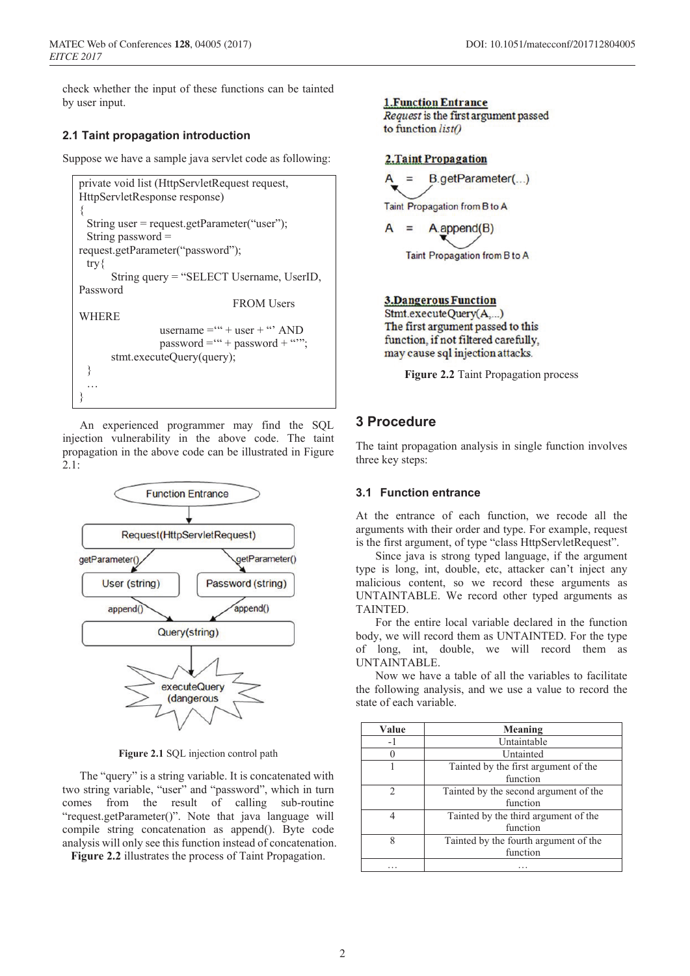check whether the input of these functions can be tainted by user input.

#### **2.1 Taint propagation introduction**

Suppose we have a sample java servlet code as following:

```
private void list (HttpServletRequest request, 
HttpServletResponse response) 
{ 
  String user = request.getParameter("user"); 
  String password = 
request.getParameter("password"); 
  try{ 
       String query = "SELECT Username, UserID, 
Password 
                                 FROM Users 
WHERE
                 username ="" + user + "' AND
                 password = " + password + "";
       stmt.executeQuery(query); 
  } 
 … 
}
```
An experienced programmer may find the SQL injection vulnerability in the above code. The taint propagation in the above code can be illustrated in Figure  $2.1:$ 



**Figure 2.1** SQL injection control path

The "query" is a string variable. It is concatenated with two string variable, "user" and "password", which in turn comes from the result of calling sub-routine "request.getParameter()". Note that java language will compile string concatenation as append(). Byte code analysis will only see this function instead of concatenation.

**Figure 2.2** illustrates the process of Taint Propagation.

#### **1. Function Entrance**

Request is the first argument passed to function list()

#### 2. Taint Propagation

$$
A = B.getParameter(...)
$$

Taint Propagation from B to A

$$
A = A.append(B)
$$

Taint Propagation from B to A

#### **3.Dangerous Function**

Stmt.executeQuery(A....) The first argument passed to this function, if not filtered carefully, may cause sql injection attacks.

**Figure 2.2** Taint Propagation process

## **3 Procedure**

The taint propagation analysis in single function involves three key steps:

#### **3.1 Function entrance**

At the entrance of each function, we recode all the arguments with their order and type. For example, request is the first argument, of type "class HttpServletRequest".

Since java is strong typed language, if the argument type is long, int, double, etc, attacker can't inject any malicious content, so we record these arguments as UNTAINTABLE. We record other typed arguments as TAINTED.

For the entire local variable declared in the function body, we will record them as UNTAINTED. For the type of long, int, double, we will record them as UNTAINTABLE.

Now we have a table of all the variables to facilitate the following analysis, and we use a value to record the state of each variable.

| Value | Meaning                               |
|-------|---------------------------------------|
| - 1   | Untaintable                           |
|       | Untainted                             |
|       | Tainted by the first argument of the  |
|       | function                              |
|       | Tainted by the second argument of the |
|       | function                              |
|       | Tainted by the third argument of the  |
|       | function                              |
|       | Tainted by the fourth argument of the |
|       | function                              |
|       | .                                     |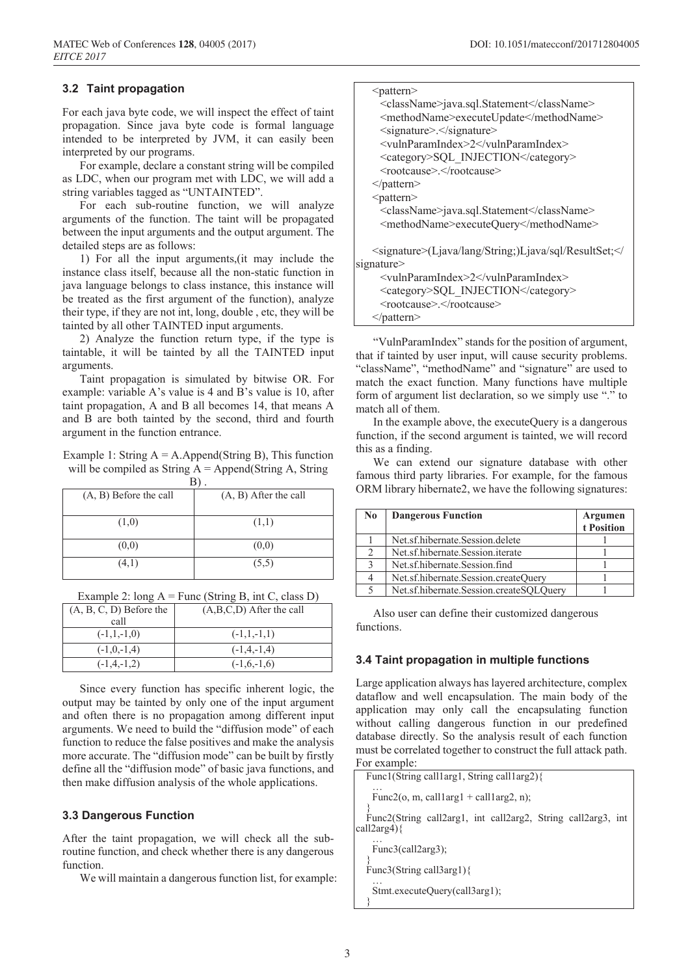#### **3.2 Taint propagation**

For each java byte code, we will inspect the effect of taint propagation. Since java byte code is formal language intended to be interpreted by JVM, it can easily been interpreted by our programs.

For example, declare a constant string will be compiled as LDC, when our program met with LDC, we will add a string variables tagged as "UNTAINTED".

For each sub-routine function, we will analyze arguments of the function. The taint will be propagated between the input arguments and the output argument. The detailed steps are as follows:

1) For all the input arguments,(it may include the instance class itself, because all the non-static function in java language belongs to class instance, this instance will be treated as the first argument of the function), analyze their type, if they are not int, long, double , etc, they will be tainted by all other TAINTED input arguments.

2) Analyze the function return type, if the type is taintable, it will be tainted by all the TAINTED input arguments.

Taint propagation is simulated by bitwise OR. For example: variable A's value is 4 and B's value is 10, after taint propagation, A and B all becomes 14, that means A and B are both tainted by the second, third and fourth argument in the function entrance.

Example 1: String  $A = A$ . Append(String B), This function will be compiled as String A = Append(String A, String

| $(A, B)$ Before the call | $(A, B)$ After the call |  |  |  |
|--------------------------|-------------------------|--|--|--|
|                          |                         |  |  |  |
| (1,0)                    | (1,1)                   |  |  |  |
|                          |                         |  |  |  |
| (0,0)                    | (0,0)                   |  |  |  |
| (4,1)                    | (5,5)                   |  |  |  |
|                          |                         |  |  |  |

Example 2: long  $A =$  Func (String B, int C, class D)

| $(A, B, C, D)$ Before the | $(A,B,C,D)$ After the call |
|---------------------------|----------------------------|
| call                      |                            |
| $(-1,1,-1,0)$             | $(-1,1,-1,1)$              |
| $(-1,0,-1,4)$             | $(-1,4,-1,4)$              |
| $(-1,4,-1,2)$             | $(-1,6,-1,6)$              |

Since every function has specific inherent logic, the output may be tainted by only one of the input argument and often there is no propagation among different input arguments. We need to build the "diffusion mode" of each function to reduce the false positives and make the analysis more accurate. The "diffusion mode" can be built by firstly define all the "diffusion mode" of basic java functions, and then make diffusion analysis of the whole applications.

### **3.3 Dangerous Function**

After the taint propagation, we will check all the subroutine function, and check whether there is any dangerous function.

We will maintain a dangerous function list, for example:

| $\epsilon$ $\epsilon$ $\rightarrow$                                        |
|----------------------------------------------------------------------------|
| <classname>java.sql.Statement</classname>                                  |
| <methodname>executeUpdate</methodname>                                     |
| $\le$ signature>. $\le$ /signature>                                        |
| <vulnparamindex>2</vulnparamindex>                                         |
| <category>SQL INJECTION</category>                                         |
| <rootcause>.</rootcause>                                                   |
| $\le$ /pattern>                                                            |
| <pattern></pattern>                                                        |
| <classname>java.sql.Statement</classname>                                  |
| <methodname>executeQuery</methodname>                                      |
|                                                                            |
| <signature>(Ljava/lang/String;)Ljava/sql/ResultSet;<!--</td--></signature> |
| signature>                                                                 |
| <vulnparamindex>2</vulnparamindex>                                         |
| <category>SQL INJECTION</category>                                         |
| <rootcause>.</rootcause>                                                   |

</pattern>

"VulnParamIndex" stands for the position of argument, that if tainted by user input, will cause security problems. "className", "methodName" and "signature" are used to match the exact function. Many functions have multiple form of argument list declaration, so we simply use "." to match all of them.

In the example above, the executeQuery is a dangerous function, if the second argument is tainted, we will record this as a finding.

We can extend our signature database with other famous third party libraries. For example, for the famous ORM library hibernate2, we have the following signatures:

| $\bf No$      | <b>Dangerous Function</b>               | Argumen<br>t Position |
|---------------|-----------------------------------------|-----------------------|
|               | Net.sf.hibernate.Session.delete         |                       |
| $\mathcal{D}$ | Net.sf.hibernate.Session.iterate        |                       |
|               | Net.sf.hibernate.Session.find           |                       |
|               | Net.sf.hibernate.Session.createQuery    |                       |
|               | Net.sf.hibernate.Session.createSQLQuery |                       |

Also user can define their customized dangerous functions.

## **3.4 Taint propagation in multiple functions**

Large application always has layered architecture, complex dataflow and well encapsulation. The main body of the application may only call the encapsulating function without calling dangerous function in our predefined database directly. So the analysis result of each function must be correlated together to construct the full attack path. For example:

Func1(String call1arg1, String call1arg2){

 … Func2(o, m, call1arg1 + call1arg2, n);

} Func2(String call2arg1, int call2arg2, String call2arg3, int call2arg4){

- Func3(call2arg3);
- } Func3(String call3arg1){

```
 … 
  Stmt.executeQuery(call3arg1); 
}
```